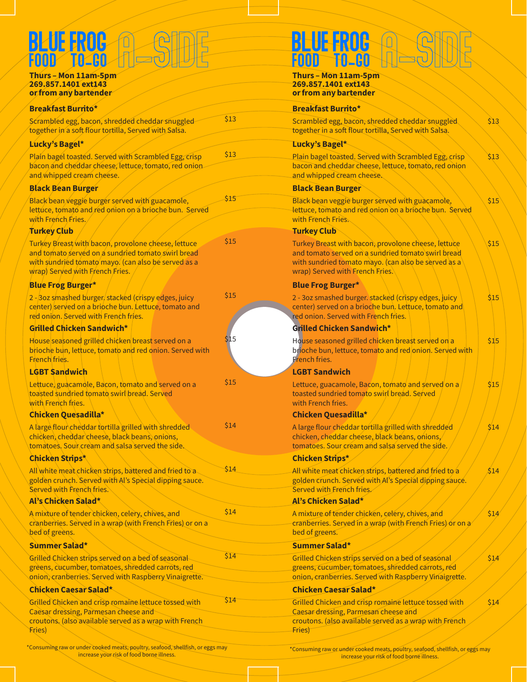# a-SIDE a-SIDE Blue Frog Blue Frog **BLUE FROG** Q @

# 269.857.1401 ext143 269.857.1401 ext143

| <u>or from any partender</u>                                                                                                                                                                        |      | <u>or from any partender</u>                                                                                                       |
|-----------------------------------------------------------------------------------------------------------------------------------------------------------------------------------------------------|------|------------------------------------------------------------------------------------------------------------------------------------|
| <b>Breakfast Burrito*</b>                                                                                                                                                                           |      | <b>Breakfast Burrito*</b>                                                                                                          |
| Scrambled egg, bacon, shredded cheddar snuggled<br>together in a soft flour tortilla, Served with Salsa.                                                                                            | \$13 | Scrambled egg, bacon, shredd<br>together in a soft flour tortilla,                                                                 |
| Lucky's Bagel*                                                                                                                                                                                      |      | Lucky's Bagel*                                                                                                                     |
| Plain bagel toasted. Served with Scrambled Egg, crisp<br>bacon and cheddar cheese, lettuce, tomato, red onion<br>and whipped cream cheese.                                                          | \$13 | Plain bagel toasted. Served wit<br>bacon and cheddar cheese, let<br>and whipped cream cheese.                                      |
| <b>Black Bean Burger</b>                                                                                                                                                                            |      | <b>Black Bean Burger</b>                                                                                                           |
| Black bean veggie burger served with guacamole,<br>lettuce, tomato and red onion on a brioche bun. Served<br>with French Fries.                                                                     | \$15 | Black bean veggie burger serve<br>lettuce, tomato and red onion<br>with French Fries.                                              |
| <b>Turkey Club</b>                                                                                                                                                                                  |      | <b>Turkey Club</b>                                                                                                                 |
| Turkey Breast with bacon, provolone cheese, lettuce<br>and tomato served on a sundried tomato swirl bread<br>with sundried tomato mayo. (can also be served as a<br>wrap) Served with French Fries. | \$15 | Turkey Breast with bacon, prov<br>and tomato served on a sundri<br>with sundried tomato mayo. (c<br>wrap) Served with French Fries |
| <b>Blue Frog Burger*</b>                                                                                                                                                                            |      | <b>Blue Frog Burger*</b>                                                                                                           |
| 2 - 3oz smashed burger stacked (crispy edges, juicy<br>center) served on a brioche bun. Lettuce, tomato and<br>red onion. Served with French fries.                                                 | \$15 | 2 - 3oz smashed burger. stacke<br>center) served on a brioche bu<br>red onion. Served with French                                  |
| <b>Grilled Chicken Sandwich*</b>                                                                                                                                                                    |      | Grilled Chicken Sandwich*                                                                                                          |
| House seasoned grilled chicken breast served on a<br>brioche bun, lettuce, tomato and red onion. Served with<br>French fries.                                                                       | \$15 | House seasoned grilled chicker<br>brioche bun, lettuce, tomato a<br><b>French fries.</b>                                           |
| <b>LGBT Sandwich</b>                                                                                                                                                                                |      | <b>LGBT Sandwich</b>                                                                                                               |
| Lettuce, guacamole, Bacon, tomato and served on a<br>toasted sundried tomato swirl bread. Served<br>with French fries.                                                                              | \$15 | Lettuce, guacamole, Bacon, to<br>toasted sundried tomato swirl<br>with French fries.                                               |
| Chicken Quesadilla*                                                                                                                                                                                 |      | Chicken Quesadilla*                                                                                                                |
| A large flour cheddar tortilla grilled with shredded<br>chicken, cheddar cheese, black beans, onions,<br>tomatoes. Sour cream and salsa served the side.                                            | \$14 | A large flour cheddar tortilla gr<br>chicken, cheddar cheese, black<br>tomatoes. Sour cream and sals                               |
| <b>Chicken Strips*</b>                                                                                                                                                                              |      | <b>Chicken Strips*</b>                                                                                                             |
| All white meat chicken strips, battered and fried to a<br>golden crunch. Served with Al's Special dipping sauce.<br>Served with French fries.                                                       | \$14 | All white meat chicken strips, b<br>golden crunch. Served with Al's<br>Served with Erench fries.                                   |
| Al's Chicken Salad*                                                                                                                                                                                 |      | Al's Chicken Salad*                                                                                                                |
| A mixture of tender chicken, celery, chives, and<br>cranberries. Served in a wrap (with French Fries) or on a<br>bed of greens.                                                                     | \$14 | A mixture of tender chicken, ce<br>cranberries. Served in a wrap (<br>bed of greens.                                               |
| Summer Salad*                                                                                                                                                                                       |      | Summer Salad*                                                                                                                      |
| Grilled Chicken strips served on a bed of seasonal<br>greens, cucumber, tomatoes, shredded carrots, red<br>onion, cranberries. Served with Raspberry Vinaigrette.                                   | \$14 | <b>Grilled Chicken strips served or</b><br>greens, cucumber, tomatoes, s<br>onion, cranberries. Served with                        |
| Chicken Caesar Salad*                                                                                                                                                                               |      | <b>Chicken Caesar Salad*</b>                                                                                                       |
| Grilled Chicken and crisp romaine lettuce tossed with<br>Caesar dressing, Parmesan cheese and<br>croutons. (also available served as a wrap with French<br><b>Fries</b> )                           | \$14 | <b>Grilled Chicken and crisp roma</b><br><b>Caesar dressing, Parmesan che</b><br>croutons. (also available serve<br>Fries)         |

Food To-Go

Thurs – Mon 11am-5pm Thurs – Mon 11am-5pm or from any bartender

|      | <b>Breakfast Burrito*</b>                                                                                                                                                                           |      |
|------|-----------------------------------------------------------------------------------------------------------------------------------------------------------------------------------------------------|------|
| \$13 | Scrambled egg, bacon, shredded cheddar snuggled<br>together in a soft flour tortilla, Served with Salsa.                                                                                            | \$13 |
|      | Lucky's Bagel*                                                                                                                                                                                      |      |
| \$13 | Plain bagel toasted. Served with Scrambled Egg, crisp<br>bacon and cheddar cheese, lettuce, tomato, red onion<br>and whipped cream cheese.                                                          | \$13 |
|      | <b>Black Bean Burger</b>                                                                                                                                                                            |      |
| \$15 | Black bean veggie burger served with guacamole,<br>lettuce, tomato and red onion on a brioche bun. Served<br>with French Fries.                                                                     | \$15 |
|      | <b>Turkey Club</b>                                                                                                                                                                                  |      |
| \$15 | Turkey Breast with bacon, provolone cheese, lettuce<br>and tomato served on a sundried tomato swirl bread<br>with sundried tomato mayo. (can also be served as a<br>wrap) Served with French Fries. | \$15 |
|      | <b>Blue Frog Burger*</b>                                                                                                                                                                            |      |
| \$15 | 2 - 3oz smashed burger. stacked (crispy edges, juicy<br>center) served on a brioche bun. Lettuce, tomato and<br>red onion. Served with French fries.                                                | \$15 |
|      | Grilled Chicken Sandwich*                                                                                                                                                                           |      |
| \$15 | House seasoned grilled chicken breast served on a<br>brioche bun, lettuce, tomato and red onion. Served with<br>Erench fries.                                                                       | \$15 |
|      | <b>LGBT Sandwich</b>                                                                                                                                                                                |      |
| \$15 | Lettuce, guacamole, Bacon, tomato and served on a<br>toasted sundried tomato swirl bread. Served<br>with French fries.                                                                              | \$15 |
|      | Chicken Quesadilla*                                                                                                                                                                                 |      |
| \$14 | A large flour cheddar tortilla grilled with shredded<br>chicken, cheddar cheese, black beans, onions,<br>tomatoes. Sour cream and salsa served the side.                                            | \$14 |
|      | <b>Chicken Strips*</b>                                                                                                                                                                              |      |
| \$14 | All white meat chicken strips, battered and fried to a<br>golden crunch. Served with Al's Special dipping sauce.<br>Served with French fries.                                                       | \$14 |
|      | Al's Chicken Salad*                                                                                                                                                                                 |      |
| \$14 | A mixture of tender chicken, celery, chives, and<br>cranberries. Served in a wrap (with French Fries) or on a<br>bed of greens.                                                                     | \$14 |
|      | Summer Salad*                                                                                                                                                                                       |      |
| \$14 | Grilled Chicken strips served on a bed of seasonal<br>greens, cucumber, tomatoes, shredded carrots, red<br>onion, cranberries. Served with Raspberry Vinaigrette.                                   | \$14 |
|      | Chicken Caesar Salad*                                                                                                                                                                               |      |
| \$14 | Grilled Chicken and crisp romaine lettuce tossed with<br>Caesar dressing, Parmesan cheese and<br>croutons. (also available served as a wrap with French<br>Fries)                                   | \$14 |
|      |                                                                                                                                                                                                     |      |

\*Consuming raw or under cooked meats, poultry, seafood, shellfish, or eggs may

\*Consuming raw or under cooked meats, poultry, seafood, shellfish, or eggs may increase your risk of food borne illness.